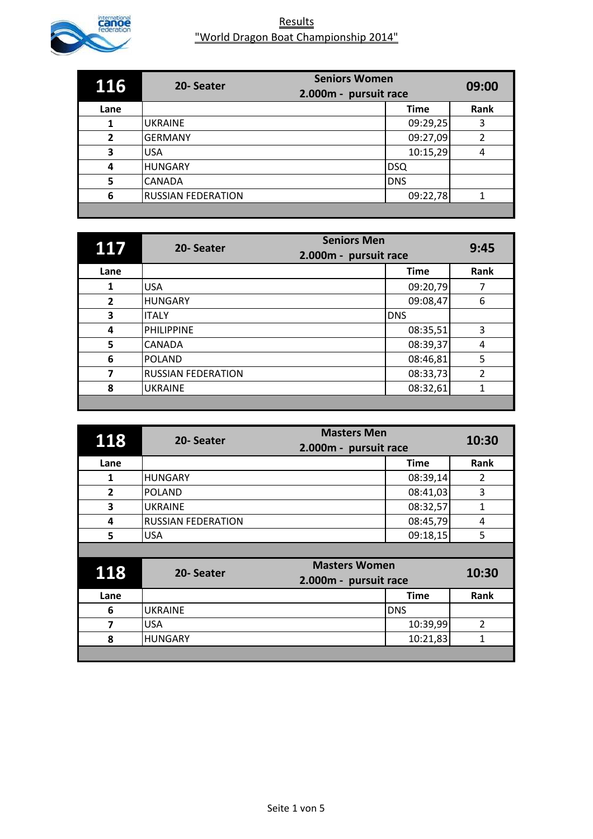

| 116            | 20-Seater                 | <b>Seniors Women</b><br>2.000m - pursuit race | 09:00          |
|----------------|---------------------------|-----------------------------------------------|----------------|
| Lane           |                           | <b>Time</b>                                   | Rank           |
| 1              | <b>UKRAINE</b>            | 09:29,25                                      | 3              |
| $\overline{2}$ | <b>GERMANY</b>            | 09:27,09                                      | $\overline{2}$ |
| 3              | <b>USA</b>                | 10:15,29                                      | 4              |
| 4              | <b>HUNGARY</b>            | <b>DSQ</b>                                    |                |
| 5              | <b>CANADA</b>             | <b>DNS</b>                                    |                |
| 6              | <b>RUSSIAN FEDERATION</b> | 09:22,78                                      | 1              |
|                |                           |                                               |                |

| 117            | <b>Seniors Men</b><br>20-Seater<br>2.000m - pursuit race |             | 9:45           |
|----------------|----------------------------------------------------------|-------------|----------------|
| Lane           |                                                          | <b>Time</b> | Rank           |
| 1              | <b>USA</b>                                               | 09:20,79    |                |
| $\overline{2}$ | <b>HUNGARY</b>                                           | 09:08,47    | 6              |
| 3              | <b>ITALY</b>                                             | <b>DNS</b>  |                |
| 4              | <b>PHILIPPINE</b>                                        | 08:35,51    | 3              |
| 5              | <b>CANADA</b>                                            | 08:39,37    | 4              |
| 6              | <b>POLAND</b>                                            | 08:46,81    | 5              |
| 7              | <b>RUSSIAN FEDERATION</b>                                | 08:33,73    | $\overline{2}$ |
| 8              | <b>UKRAINE</b>                                           | 08:32,61    |                |
|                |                                                          |             |                |

| 118            | <b>Masters Men</b><br>20-Seater<br>2.000m - pursuit race |             | 10:30          |
|----------------|----------------------------------------------------------|-------------|----------------|
| Lane           |                                                          | <b>Time</b> | Rank           |
| 1              | <b>HUNGARY</b>                                           | 08:39,14    | $\overline{2}$ |
| $\overline{2}$ | <b>POLAND</b>                                            | 08:41,03    | 3              |
| 3              | <b>UKRAINE</b>                                           | 08:32,57    | 1              |
| 4              | <b>RUSSIAN FEDERATION</b>                                | 08:45,79    | 4              |
| 5              | <b>USA</b>                                               | 09:18,15    | 5              |
|                |                                                          |             |                |
|                | <b>Masters Women</b>                                     |             |                |
| 118            | 20-Seater<br>2.000m - pursuit race                       |             | 10:30          |
| Lane           |                                                          | <b>Time</b> | Rank           |
| 6              | <b>UKRAINE</b>                                           | <b>DNS</b>  |                |
| 7              | <b>USA</b>                                               | 10:39,99    | $\overline{2}$ |
| 8              | <b>HUNGARY</b>                                           | 10:21,83    | 1              |
|                |                                                          |             |                |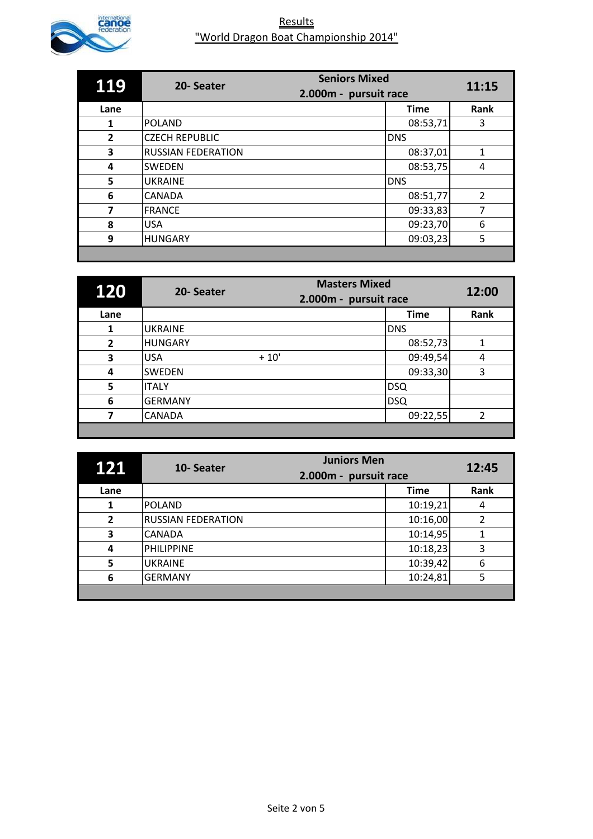

| <b>119</b>     | 20-Seater                 | <b>Seniors Mixed</b><br>2.000m - pursuit race | 11:15          |
|----------------|---------------------------|-----------------------------------------------|----------------|
| Lane           |                           | <b>Time</b>                                   | Rank           |
| 1              | <b>POLAND</b>             | 08:53,71                                      | 3              |
| $\overline{2}$ | <b>CZECH REPUBLIC</b>     | <b>DNS</b>                                    |                |
| 3              | <b>RUSSIAN FEDERATION</b> | 08:37,01                                      | 1              |
| 4              | <b>SWEDEN</b>             | 08:53,75                                      | 4              |
| 5              | <b>UKRAINE</b>            | <b>DNS</b>                                    |                |
| 6              | <b>CANADA</b>             | 08:51,77                                      | $\overline{2}$ |
| 7              | <b>FRANCE</b>             | 09:33,83                                      | 7              |
| 8              | <b>USA</b>                | 09:23,70                                      | 6              |
| 9              | <b>HUNGARY</b>            | 09:03,23                                      | 5              |
|                |                           |                                               |                |

| <b>120</b>     | 20-Seater      | <b>Masters Mixed</b><br>2.000m - pursuit race |             | 12:00          |
|----------------|----------------|-----------------------------------------------|-------------|----------------|
| Lane           |                |                                               | <b>Time</b> | Rank           |
| 1              | <b>UKRAINE</b> |                                               | <b>DNS</b>  |                |
| $\overline{2}$ | <b>HUNGARY</b> |                                               | 08:52,73    | 1              |
| 3              | <b>USA</b>     | $+10'$                                        | 09:49,54    | 4              |
| 4              | <b>SWEDEN</b>  |                                               | 09:33,30    | 3              |
| 5              | <b>ITALY</b>   |                                               | <b>DSQ</b>  |                |
| 6              | <b>GERMANY</b> |                                               | <b>DSQ</b>  |                |
| 7              | <b>CANADA</b>  |                                               | 09:22,55    | $\overline{2}$ |
|                |                |                                               |             |                |

| 121            | <b>Juniors Men</b><br>10-Seater<br>2.000m - pursuit race |             | 12:45 |
|----------------|----------------------------------------------------------|-------------|-------|
| Lane           |                                                          | <b>Time</b> | Rank  |
|                | <b>POLAND</b>                                            | 10:19,21    | 4     |
| $\overline{2}$ | <b>RUSSIAN FEDERATION</b>                                | 10:16,00    | 2     |
| 3              | <b>CANADA</b>                                            | 10:14,95    |       |
| 4              | <b>PHILIPPINE</b>                                        | 10:18,23    | 3     |
| 5              | <b>UKRAINE</b>                                           | 10:39,42    | 6     |
| 6              | <b>GERMANY</b>                                           | 10:24,81    | 5     |
|                |                                                          |             |       |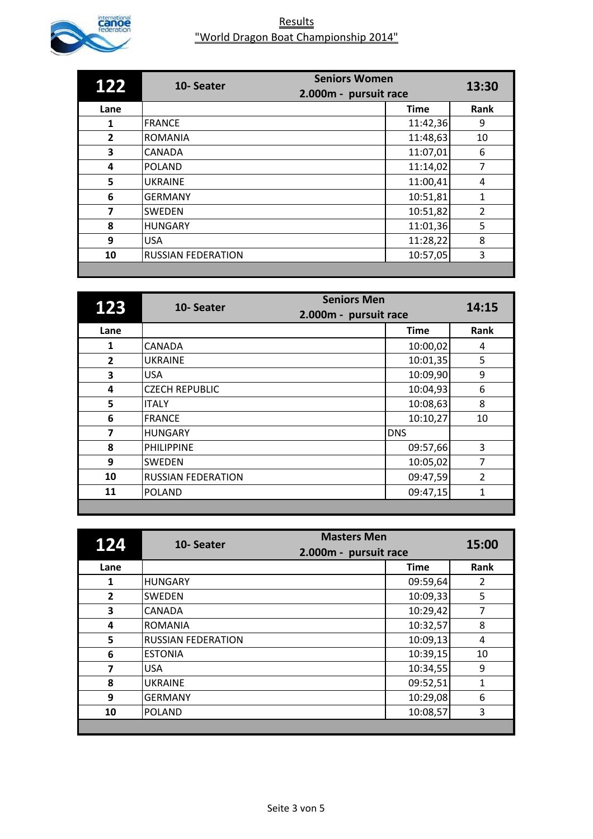

| 122            | <b>Seniors Women</b><br>10-Seater |                       | 13:30          |
|----------------|-----------------------------------|-----------------------|----------------|
|                |                                   | 2.000m - pursuit race |                |
| Lane           |                                   | <b>Time</b>           | Rank           |
| 1              | <b>FRANCE</b>                     | 11:42,36              | 9              |
| $\overline{2}$ | <b>ROMANIA</b>                    | 11:48,63              | 10             |
| 3              | <b>CANADA</b>                     | 11:07,01              | 6              |
| 4              | <b>POLAND</b>                     | 11:14,02              | 7              |
| 5              | <b>UKRAINE</b>                    | 11:00,41              | 4              |
| 6              | <b>GERMANY</b>                    | 10:51,81              | 1              |
| 7              | <b>SWEDEN</b>                     | 10:51,82              | $\overline{2}$ |
| 8              | <b>HUNGARY</b>                    | 11:01,36              | 5              |
| 9              | <b>USA</b>                        | 11:28,22              | 8              |
| 10             | <b>RUSSIAN FEDERATION</b>         | 10:57,05              | 3              |
|                |                                   |                       |                |

| 123                     | <b>Seniors Men</b><br>10-Seater<br>2.000m - pursuit race |             | 14:15          |
|-------------------------|----------------------------------------------------------|-------------|----------------|
| Lane                    |                                                          | <b>Time</b> | Rank           |
| 1                       | <b>CANADA</b>                                            | 10:00,02    | 4              |
| $\overline{2}$          | <b>UKRAINE</b>                                           | 10:01,35    | 5              |
| 3                       | <b>USA</b>                                               | 10:09,90    | 9              |
| 4                       | <b>CZECH REPUBLIC</b>                                    | 10:04,93    | 6              |
| 5                       | ITALY                                                    | 10:08,63    | 8              |
| 6                       | <b>FRANCE</b>                                            | 10:10,27    | 10             |
| $\overline{\mathbf{z}}$ | <b>HUNGARY</b>                                           | <b>DNS</b>  |                |
| 8                       | <b>PHILIPPINE</b>                                        | 09:57,66    | 3              |
| 9                       | <b>SWEDEN</b>                                            | 10:05,02    | 7              |
| 10                      | <b>RUSSIAN FEDERATION</b>                                | 09:47,59    | $\overline{2}$ |
| 11                      | <b>POLAND</b>                                            | 09:47,15    | 1              |
|                         |                                                          |             |                |

| 124            | <b>Masters Men</b><br>10-Seater<br>2.000m - pursuit race |             | 15:00 |
|----------------|----------------------------------------------------------|-------------|-------|
| Lane           |                                                          | <b>Time</b> | Rank  |
| 1              | <b>HUNGARY</b>                                           | 09:59,64    | 2     |
| $\overline{2}$ | <b>SWEDEN</b>                                            | 10:09,33    | 5     |
| 3              | CANADA                                                   | 10:29,42    | 7     |
| 4              | <b>ROMANIA</b>                                           | 10:32,57    | 8     |
| 5              | <b>RUSSIAN FEDERATION</b>                                | 10:09,13    | 4     |
| 6              | <b>ESTONIA</b>                                           | 10:39,15    | 10    |
| 7              | <b>USA</b>                                               | 10:34,55    | 9     |
| 8              | <b>UKRAINE</b>                                           | 09:52,51    | 1     |
| 9              | <b>GERMANY</b>                                           | 10:29,08    | 6     |
| 10             | <b>POLAND</b>                                            | 10:08,57    | 3     |
|                |                                                          |             |       |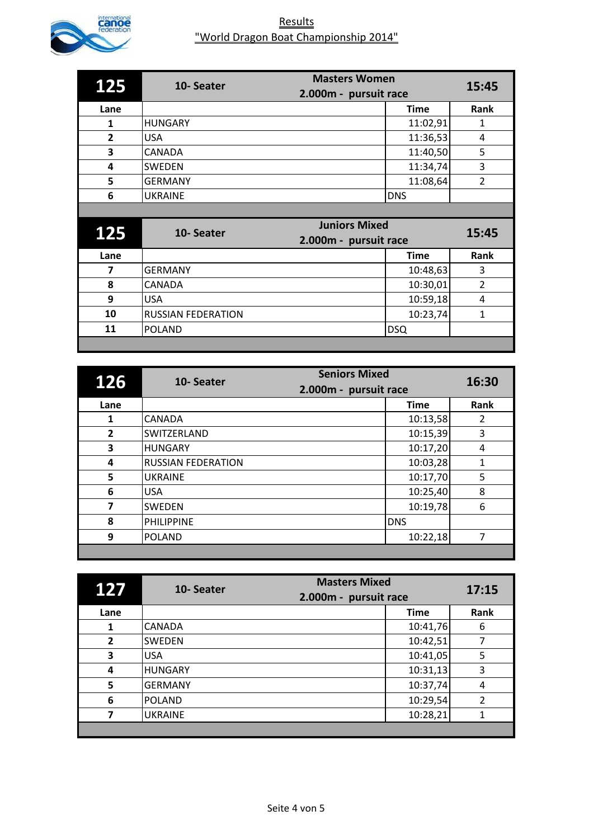

| 125                     | <b>Masters Women</b><br>10-Seater  |                       | 15:45          |
|-------------------------|------------------------------------|-----------------------|----------------|
|                         |                                    | 2.000m - pursuit race |                |
| Lane                    |                                    | <b>Time</b>           | Rank           |
| 1                       | <b>HUNGARY</b>                     | 11:02,91              | 1              |
| $\overline{2}$          | <b>USA</b>                         | 11:36,53              | 4              |
| 3                       | <b>CANADA</b>                      | 11:40,50              | 5              |
| 4                       | SWEDEN                             | 11:34,74              | 3              |
| 5                       | <b>GERMANY</b>                     | 11:08,64              | $\overline{2}$ |
| 6                       | <b>UKRAINE</b>                     | <b>DNS</b>            |                |
|                         |                                    |                       |                |
|                         |                                    |                       |                |
|                         | <b>Juniors Mixed</b>               |                       |                |
| 125                     | 10-Seater<br>2.000m - pursuit race |                       | 15:45          |
| Lane                    |                                    | <b>Time</b>           | Rank           |
| $\overline{\mathbf{z}}$ | <b>GERMANY</b>                     | 10:48,63              | 3              |
| 8                       | CANADA                             | 10:30,01              | $\overline{2}$ |
| 9                       | <b>USA</b>                         | 10:59,18              | 4              |
| 10                      | <b>RUSSIAN FEDERATION</b>          | 10:23,74              | 1              |
| 11                      | <b>POLAND</b>                      | <b>DSQ</b>            |                |

| 126                     | <b>Seniors Mixed</b><br>10-Seater<br>2.000m - pursuit race |             | 16:30 |
|-------------------------|------------------------------------------------------------|-------------|-------|
| Lane                    |                                                            | <b>Time</b> | Rank  |
| 1                       | <b>CANADA</b>                                              | 10:13,58    | 2     |
| $\overline{2}$          | SWITZERLAND                                                | 10:15,39    | 3     |
| 3                       | <b>HUNGARY</b>                                             | 10:17,20    | 4     |
| 4                       | <b>RUSSIAN FEDERATION</b>                                  | 10:03,28    | 1     |
| 5                       | <b>UKRAINE</b>                                             | 10:17,70    | 5     |
| 6                       | <b>USA</b>                                                 | 10:25,40    | 8     |
| $\overline{\mathbf{z}}$ | <b>SWEDEN</b>                                              | 10:19,78    | 6     |
| 8                       | <b>PHILIPPINE</b>                                          | <b>DNS</b>  |       |
| 9                       | <b>POLAND</b>                                              | 10:22,18    | 7     |
|                         |                                                            |             |       |

| 127            | 10-Seater      | <b>Masters Mixed</b><br>2.000m - pursuit race | 17:15          |
|----------------|----------------|-----------------------------------------------|----------------|
| Lane           |                | <b>Time</b>                                   | Rank           |
| 1              | <b>CANADA</b>  | 10:41,76                                      | 6              |
| $\overline{2}$ | <b>SWEDEN</b>  | 10:42,51                                      |                |
| 3              | <b>USA</b>     | 10:41,05                                      | 5              |
| 4              | <b>HUNGARY</b> | 10:31,13                                      | 3              |
| 5              | <b>GERMANY</b> | 10:37,74                                      | 4              |
| 6              | <b>POLAND</b>  | 10:29,54                                      | $\overline{2}$ |
|                | <b>UKRAINE</b> | 10:28,21                                      |                |
|                |                |                                               |                |